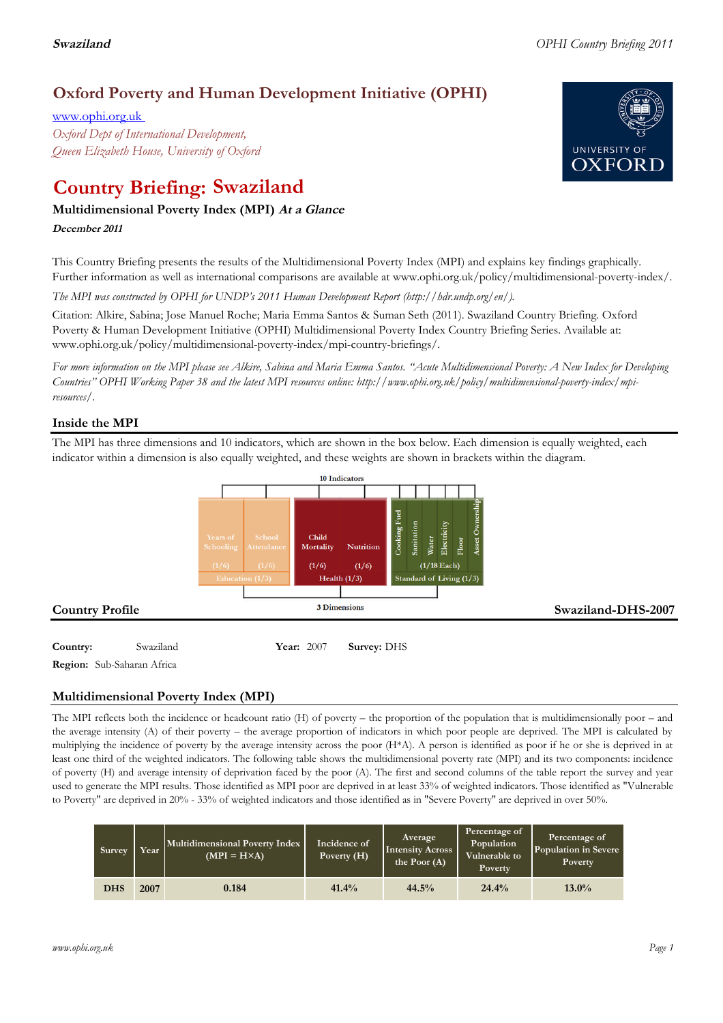# **Oxford Poverty and Human Development Initiative (OPHI)**

www.ophi.org.uk *Oxford Dept of International Development, Queen Elizabeth House, University of Oxford*

# **Country Briefing: Swaziland**

# **Multidimensional Poverty Index (MPI) At <sup>a</sup> Glance**

**December <sup>2011</sup>**

This Country Briefing presents the results of the Multidimensional Poverty Index (MPI) and explains key findings graphically. Further information as well as international comparisons are available at www.ophi.org.uk/policy/multidimensional-poverty-index/.

*The MPI was constructed by OPHI for UNDP's 2011 Human Development Report (http://hdr.undp.org/en/).*

Citation: Alkire, Sabina; Jose Manuel Roche; Maria Emma Santos & Suman Seth (2011). Swaziland Country Briefing. Oxford Poverty & Human Development Initiative (OPHI) Multidimensional Poverty Index Country Briefing Series. Available at: www.ophi.org.uk/policy/multidimensional-poverty-index/mpi-country-briefings/.

*For more information on the MPI please see Alkire, Sabina and Maria Emma Santos. "Acute Multidimensional Poverty: A New Index for Developing Countries" OPHI Working Paper 38 and the latest MPI resources online: http://www.ophi.org.uk/policy/multidimensional-poverty-index/mpiresources/.*

## **Inside the MPI**

The MPI has three dimensions and 10 indicators, which are shown in the box below. Each dimension is equally weighted, each indicator within a dimension is also equally weighted, and these weights are shown in brackets within the diagram.



# **Country:** 3 Swaziland 90 **Year:** 2007 **Survey:** DHS

**Region:** Sub-Saharan Africa

# **Multidimensional Poverty Index (MPI)**

The MPI reflects both the incidence or headcount ratio (H) of poverty – the proportion of the population that is multidimensionally poor – and the average intensity (A) of their poverty – the average proportion of indicators in which poor people are deprived. The MPI is calculated by multiplying the incidence of poverty by the average intensity across the poor (H\*A). A person is identified as poor if he or she is deprived in at least one third of the weighted indicators. The following table shows the multidimensional poverty rate (MPI) and its two components: incidence of poverty (H) and average intensity of deprivation faced by the poor (A). The first and second columns of the table report the survey and year used to generate the MPI results. Those identified as MPI poor are deprived in at least 33% of weighted indicators. Those identified as "Vulnerable to Poverty" are deprived in 20% - 33% of weighted indicators and those identified as in "Severe Poverty" are deprived in over 50%.

| <b>Survey</b> | Year | Multidimensional Poverty Index<br>$(MPI = H \times A)$ | Incidence of<br>Poverty $(H)$ | Average<br><b>Intensity Across</b><br>the Poor $(A)$ | Percentage of<br>Population<br>Vulnerable to<br>Poverty. | Percentage of<br>Population in Severe<br><b>Poverty</b> |
|---------------|------|--------------------------------------------------------|-------------------------------|------------------------------------------------------|----------------------------------------------------------|---------------------------------------------------------|
| <b>DHS</b>    | 2007 | 0.184                                                  | 41.4%                         | 44.5%                                                | 24.4%                                                    | $13.0\%$                                                |

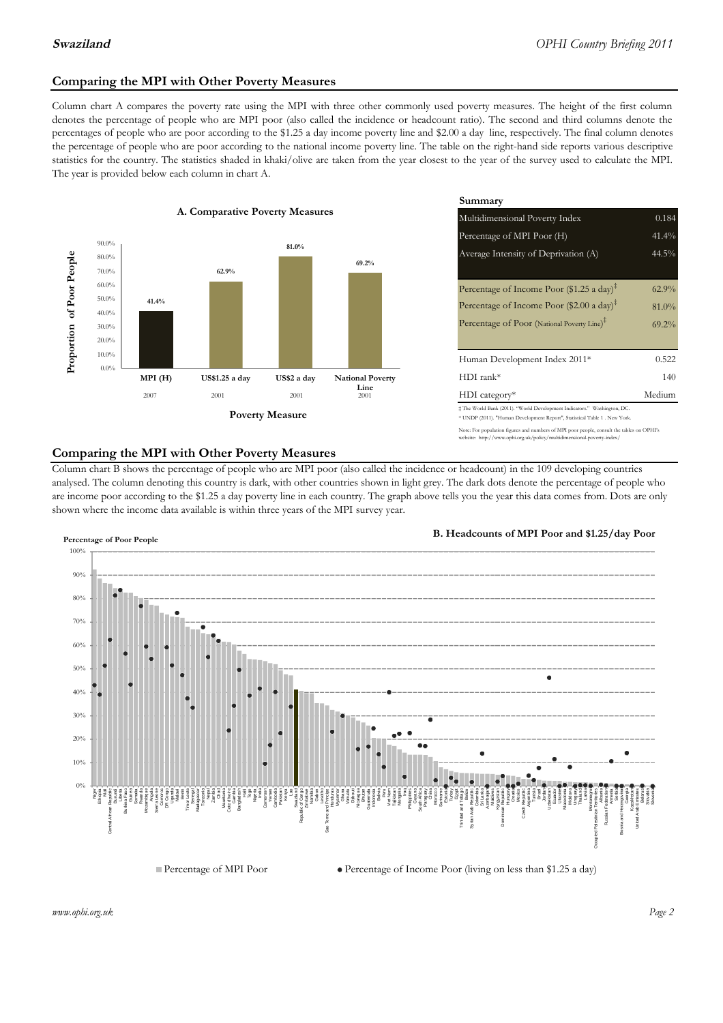### **Comparing the MPI with Other Poverty Measures**

Column chart A compares the poverty rate using the MPI with three other commonly used poverty measures. The height of the first column denotes the percentage of people who are MPI poor (also called the incidence or headcount ratio). The second and third columns denote the percentages of people who are poor according to the \$1.25 a day income poverty line and \$2.00 a day line, respectively. The final column denotes the percentage of people who are poor according to the national income poverty line. The table on the right-hand side reports various descriptive statistics for the country. The statistics shaded in khaki/olive are taken from the year closest to the year of the survey used to calculate the MPI. The year is provided below each column in chart A.



|                                        |              | Summary                                                                                                                                                    |          |  |  |
|----------------------------------------|--------------|------------------------------------------------------------------------------------------------------------------------------------------------------------|----------|--|--|
| erty Measures                          |              | 0.184<br>Multidimensional Poverty Index                                                                                                                    |          |  |  |
|                                        |              | Percentage of MPI Poor (H)                                                                                                                                 | 41.4%    |  |  |
| 81.0%                                  | 69.2%        | Average Intensity of Deprivation (A)                                                                                                                       | 44.5%    |  |  |
|                                        |              | Percentage of Income Poor (\$1.25 a day) <sup><math>\ddagger</math></sup>                                                                                  | $62.9\%$ |  |  |
|                                        |              | Percentage of Income Poor (\$2.00 a day) <sup><math>\ddagger</math></sup>                                                                                  | $81.0\%$ |  |  |
|                                        |              | Percentage of Poor (National Poverty Line) <sup>#</sup>                                                                                                    | $69.2\%$ |  |  |
|                                        |              | Human Development Index 2011*                                                                                                                              | 0.522    |  |  |
| US\$2 a day<br><b>National Poverty</b> |              | $HDI$ rank*                                                                                                                                                | 140      |  |  |
| 2001                                   | Line<br>2001 | $HDI category*$                                                                                                                                            | Medium   |  |  |
| <b>Aeasure</b>                         |              | $\pm$ The World Bank (2011). "World Development Indicators." Washington, DC.<br>* UNDP (2011). "Human Development Report", Statistical Table 1 . New York. |          |  |  |

te: For population figures and numbers of MPI poor people, consult the tables on OPHI's te: http://www.ophi.org.uk/policy/multidimensional-poverty-index/

#### **Comparing the MPI with Other Poverty Measures**

Column chart B shows the percentage of people who are MPI poor (also called the incidence or headcount) in the 109 developing countries analysed. The column denoting this country is dark, with other countries shown in light grey. The dark dots denote the percentage of people who are income poor according to the \$1.25 a day poverty line in each country. The graph above tells you the year this data comes from. Dots are only shown where the income data available is within three years of the MPI survey year.



**B. Headcounts of MPI Poor and \$1.25/day Poor**

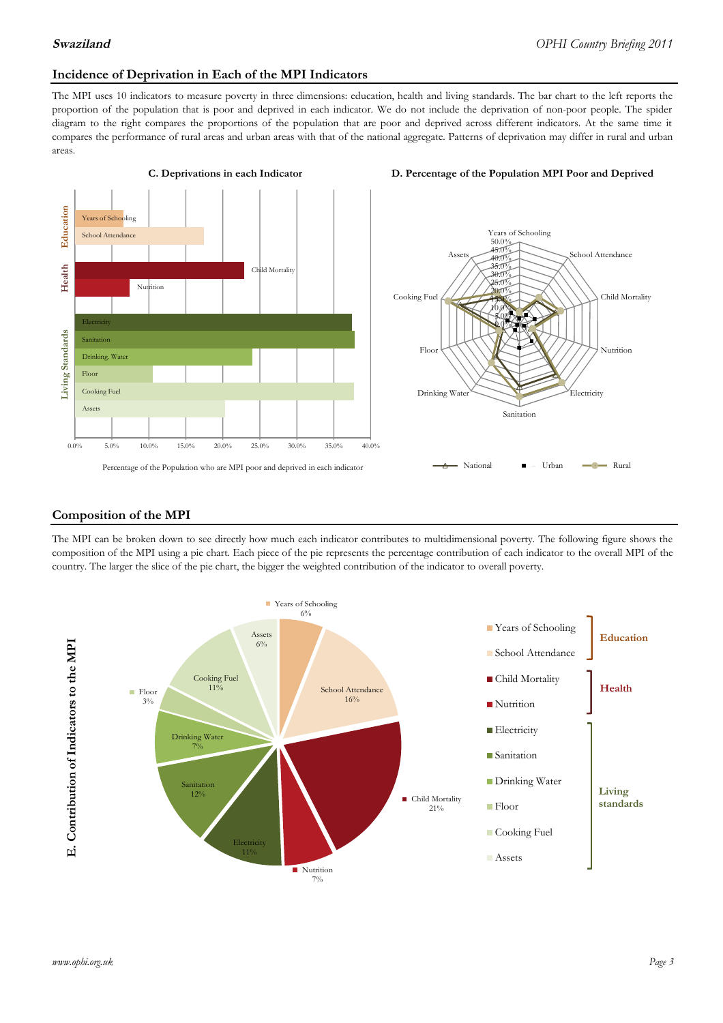#### **Incidence of Deprivation in Each of the MPI Indicators**

The MPI uses 10 indicators to measure poverty in three dimensions: education, health and living standards. The bar chart to the left reports the proportion of the population that is poor and deprived in each indicator. We do not include the deprivation of non-poor people. The spider diagram to the right compares the proportions of the population that are poor and deprived across different indicators. At the same time it compares the performance of rural areas and urban areas with that of the national aggregate. Patterns of deprivation may differ in rural and urban areas.







#### **Composition of the MPI**

The MPI can be broken down to see directly how much each indicator contributes to multidimensional poverty. The following figure shows the composition of the MPI using a pie chart. Each piece of the pie represents the percentage contribution of each indicator to the overall MPI of the country. The larger the slice of the pie chart, the bigger the weighted contribution of the indicator to overall poverty.

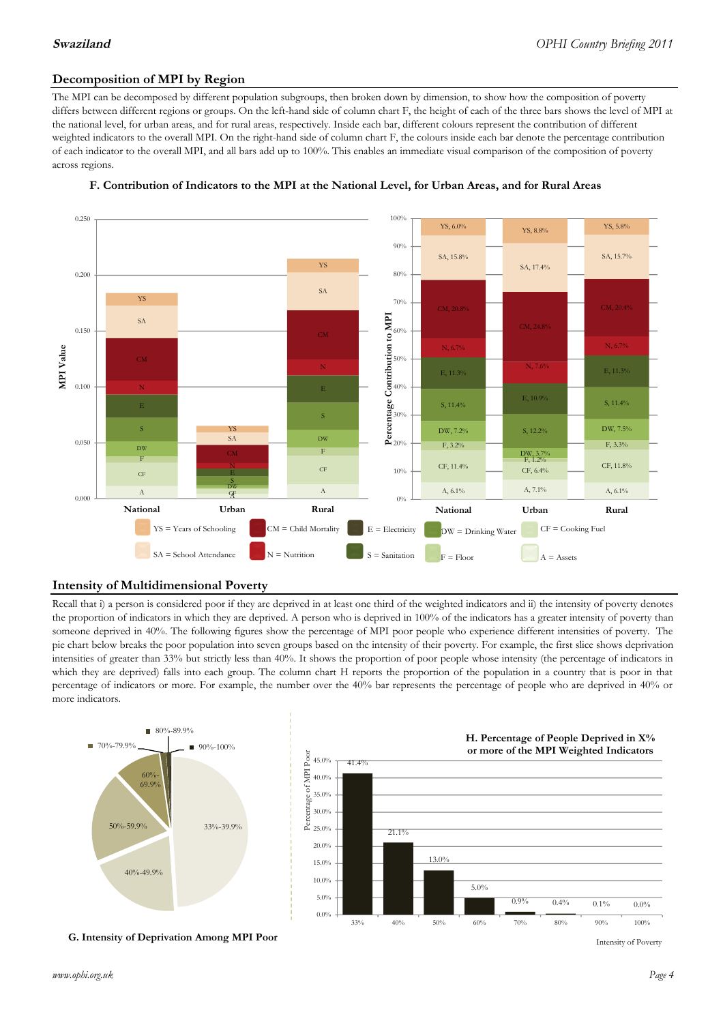### **Decomposition of MPI by Region**

The MPI can be decomposed by different population subgroups, then broken down by dimension, to show how the composition of poverty differs between different regions or groups. On the left-hand side of column chart F, the height of each of the three bars shows the level of MPI at the national level, for urban areas, and for rural areas, respectively. Inside each bar, different colours represent the contribution of different weighted indicators to the overall MPI. On the right-hand side of column chart F, the colours inside each bar denote the percentage contribution of each indicator to the overall MPI, and all bars add up to 100%. This enables an immediate visual comparison of the composition of poverty across regions.



#### **F. Contribution of Indicators to the MPI at the National Level, for Urban Areas, and for Rural Areas**

### **Intensity of Multidimensional Poverty**

Recall that i) a person is considered poor if they are deprived in at least one third of the weighted indicators and ii) the intensity of poverty denotes the proportion of indicators in which they are deprived. A person who is deprived in 100% of the indicators has a greater intensity of poverty than someone deprived in 40%. The following figures show the percentage of MPI poor people who experience different intensities of poverty. The pie chart below breaks the poor population into seven groups based on the intensity of their poverty. For example, the first slice shows deprivation intensities of greater than 33% but strictly less than 40%. It shows the proportion of poor people whose intensity (the percentage of indicators in which they are deprived) falls into each group. The column chart H reports the proportion of the population in a country that is poor in that percentage of indicators or more. For example, the number over the 40% bar represents the percentage of people who are deprived in 40% or more indicators.



**G. Intensity of Deprivation Among MPI Poor**

Intensity of Poverty